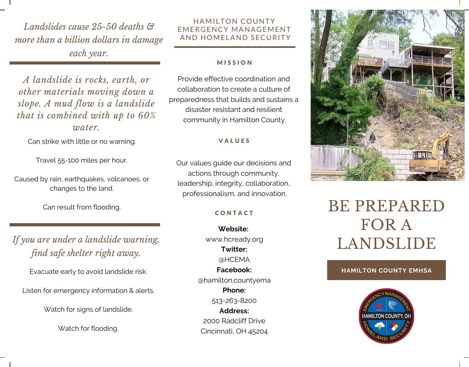*Landslides cause 25-50 deaths & more than a billion dollars in damage each year.*

*A landslide is rocks, earth, or other materials moving down a slope. A mud flow is a landslide that is combined with up to 60% water.*

Can strike with little or no warning.

Travel 55-100 miles per hour.

Caused by rain, earthquakes, volcanoes, or changes to the land.

Can result from flooding.

*If you are under a landslide warning, find safe shelter right away.*

Evacuate early to avoid landslide risk.

Listen for emergency information & alerts.

Watch for signs of landslide.

Watch for flooding.

## HAMILTON COUNTY EMERGENCY MANAGEMENT AND HOMELAND SECURITY

## **MISSION**

Provide effective coordination and collaboration to create a culture of preparedness that builds and sustains a disaster resistant and resilient community in Hamilton County.

## **VALUES**

Our values guide our decisions and actions through community, leadership, integrity, collaboration, professionalism, and innovation.

## **CONTACT**

**Website:** www.hcready.org **Twitter:** @HCEMA **Facebook:** @hamilton.countyema **Phone:** 513-263-8200 **Address:** 2000 Radcliff Drive Cincinnati, OH 45204



# BE PREPARED FOR A LANDSLIDE

## **HAMILTON COUNTY EMHSA**